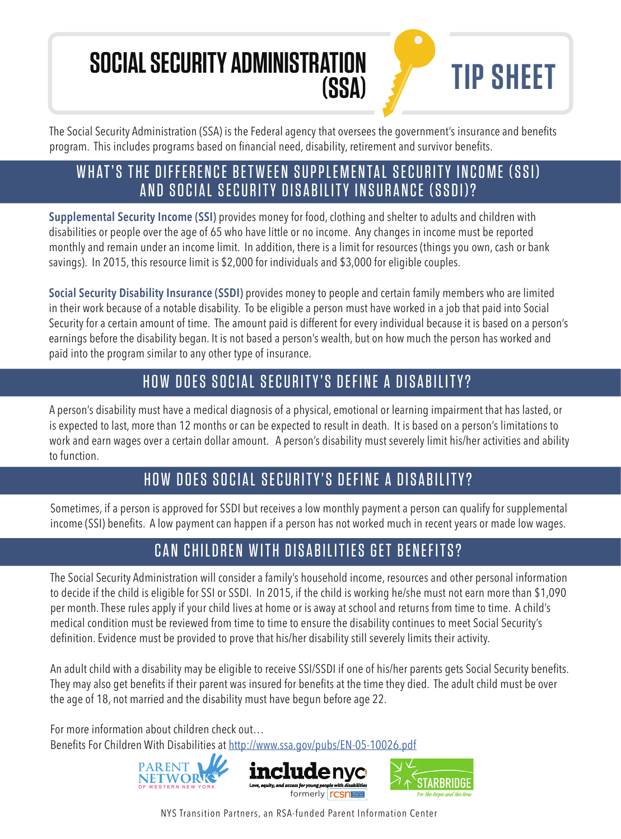# **SOCIAL SECURITY ADMINISTRATION**

The Social Security Administration (SSA) is the Federal agency that oversees the government's insurance and benefits program. This includes programs based on financial need, disability, retirement and survivor benefits.

**(SSA) TIP SHEET**

#### WHAT'S THE DIFFERENCE BETWEEN SUPPLEMENTAL SECURITY INCOME (SSI) AND SOCIAL SECURITY DISABILITY INSURANCE (SSDI)?

**Supplemental Security Income (SSI)** provides money for food, clothing and shelter to adults and children with disabilities or people over the age of 65 who have little or no income. Any changes in income must be reported monthly and remain under an income limit. In addition, there is a limit for resources (things you own, cash or bank savings). In 2015, this resource limit is \$2,000 for individuals and \$3,000 for eligible couples.

**Social Security Disability Insurance (SSDI)** provides money to people and certain family members who are limited in their work because of a notable disability. To be eligible a person must have worked in a job that paid into Social Security for a certain amount of time. The amount paid is different for every individual because it is based on a person's earnings before the disability began. It is not based a person's wealth, but on how much the person has worked and paid into the program similar to any other type of insurance.

#### HOW DOES SOCIAL SECURITY'S DEFINE A DISABILITY?

A person's disability must have a medical diagnosis of a physical, emotional or learning impairment that has lasted, or is expected to last, more than 12 months or can be expected to result in death. It is based on a person's limitations to work and earn wages over a certain dollar amount. A person's disability must severely limit his/her activities and ability to function.

### HOW DOES SOCIAL SECURITY'S DEFINE A DISABILITY?

Sometimes, if a person is approved for SSDI but receives a low monthly payment a person can qualify for supplemental income (SSI) benefits. A low payment can happen if a person has not worked much in recent years or made low wages.

## CAN CHILDREN WITH DISABILITIES GET BENEFITS?

The Social Security Administration will consider a family's household income, resources and other personal information to decide if the child is eligible for SSI or SSDI. In 2015, if the child is working he/she must not earn more than \$1,090 per month. These rules apply if your child lives at home or is away at school and returns from time to time. A child's medical condition must be reviewed from time to time to ensure the disability continues to meet Social Security's definition. Evidence must be provided to prove that his/her disability still severely limits their activity.

An adult child with a disability may be eligible to receive SSI/SSDI if one of his/her parents gets Social Security benefits. They may also get benefits if their parent was insured for benefits at the time they died. The adult child must be over the age of 18, not married and the disability must have begun before age 22.

For more information about children check out… Benefits For Children With Disabilities at http://www.ssa.gov/pubs/EN-05-10026.pdf



NYS Transition Partners, an RSA-funded Parent Information Center